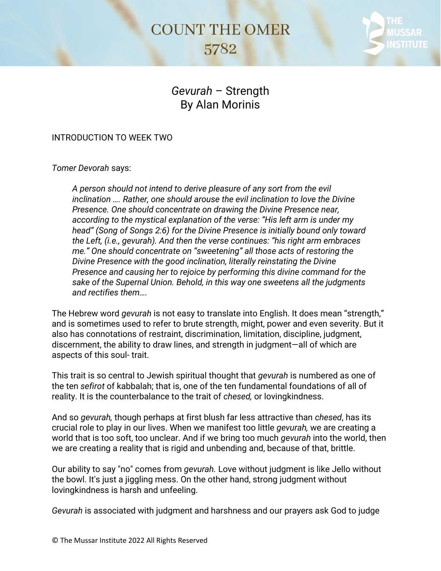## **COUNT THE OMER** 5782



## *Gevurah* – Strength By Alan Morinis

## INTRODUCTION TO WEEK TWO

*Tomer Devorah* says:

*A person should not intend to derive pleasure of any sort from the evil inclination …. Rather, one should arouse the evil inclination to love the Divine Presence. One should concentrate on drawing the Divine Presence near, according to the mystical explanation of the verse: "His left arm is under my head" (Song of Songs 2:6) for the Divine Presence is initially bound only toward the Left, (i.e., gevurah). And then the verse continues: "his right arm embraces me." One should concentrate on "sweetening" all those acts of restoring the Divine Presence with the good inclination, literally reinstating the Divine Presence and causing her to rejoice by performing this divine command for the sake of the Supernal Union. Behold, in this way one sweetens all the judgments and rectifies them….*

The Hebrew word *gevurah* is not easy to translate into English. It does mean "strength," and is sometimes used to refer to brute strength, might, power and even severity. But it also has connotations of restraint, discrimination, limitation, discipline, judgment, discernment, the ability to draw lines, and strength in judgment—all of which are aspects of this soul- trait.

This trait is so central to Jewish spiritual thought that *gevurah* is numbered as one of the ten *sefirot* of kabbalah; that is, one of the ten fundamental foundations of all of reality. It is the counterbalance to the trait of *chesed,* or lovingkindness.

And so *gevurah,* though perhaps at first blush far less attractive than *chesed*, has its crucial role to play in our lives. When we manifest too little *gevurah,* we are creating a world that is too soft, too unclear. And if we bring too much *gevurah* into the world, then we are creating a reality that is rigid and unbending and, because of that, brittle.

Our ability to say "no" comes from *gevurah.* Love without judgment is like Jello without the bowl. It's just a jiggling mess. On the other hand, strong judgment without lovingkindness is harsh and unfeeling.

*Gevurah* is associated with judgment and harshness and our prayers ask God to judge